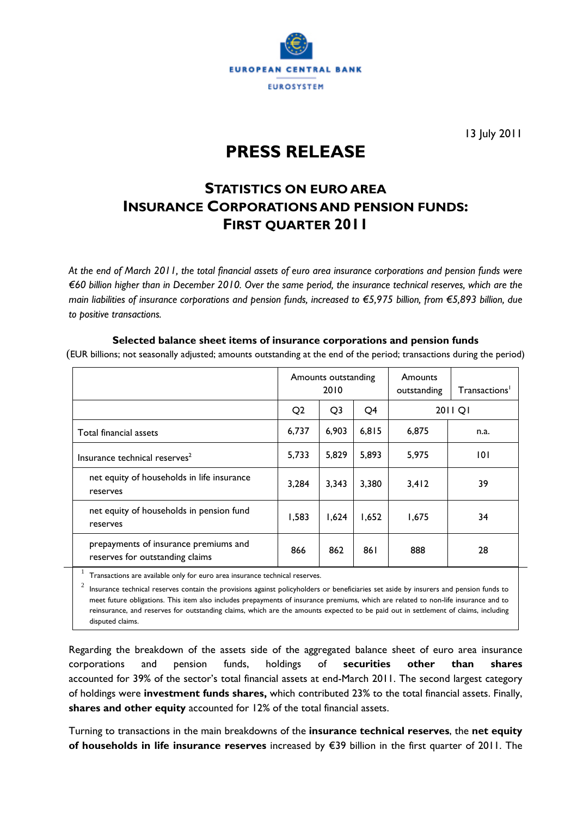

13 July 2011

## **PRESS RELEASE**

### **STATISTICS ON EURO AREA INSURANCE CORPORATIONS AND PENSION FUNDS: FIRST QUARTER 2011**

*At the end of March 2011, the total financial assets of euro area insurance corporations and pension funds were €60 billion higher than in December 2010. Over the same period, the insurance technical reserves, which are the main liabilities of insurance corporations and pension funds, increased to €5,975 billion, from €5,893 billion, due to positive transactions.* 

#### **Selected balance sheet items of insurance corporations and pension funds**

(EUR billions; not seasonally adjusted; amounts outstanding at the end of the period; transactions during the period)

|                                                                          | Amounts outstanding<br>2010 |                |       | Amounts<br>outstanding | Transactions <sup>1</sup> |
|--------------------------------------------------------------------------|-----------------------------|----------------|-------|------------------------|---------------------------|
|                                                                          | Q <sub>2</sub>              | Q <sub>3</sub> | Q4    | 2011 Q1                |                           |
| Total financial assets                                                   | 6,737                       | 6,903          | 6,815 | 6,875                  | n.a.                      |
| Insurance technical reserves <sup>2</sup>                                | 5,733                       | 5,829          | 5,893 | 5,975                  | 101                       |
| net equity of households in life insurance<br>reserves                   | 3,284                       | 3,343          | 3,380 | 3,412                  | 39                        |
| net equity of households in pension fund<br>reserves                     | 1,583                       | 1,624          | 1,652 | 1,675                  | 34                        |
| prepayments of insurance premiums and<br>reserves for outstanding claims | 866                         | 862            | 861   | 888                    | 28                        |

 $1$  Transactions are available only for euro area insurance technical reserves.

 $2$  Insurance technical reserves contain the provisions against policyholders or beneficiaries set aside by insurers and pension funds to meet future obligations. This item also includes prepayments of insurance premiums, which are related to non-life insurance and to reinsurance, and reserves for outstanding claims, which are the amounts expected to be paid out in settlement of claims, including disputed claims.

Regarding the breakdown of the assets side of the aggregated balance sheet of euro area insurance corporations and pension funds, holdings of **securities other than shares**  accounted for 39% of the sector's total financial assets at end-March 2011. The second largest category of holdings were **investment funds shares,** which contributed 23% to the total financial assets. Finally, **shares and other equity** accounted for 12% of the total financial assets.

Turning to transactions in the main breakdowns of the **insurance technical reserves**, the **net equity of households in life insurance reserves** increased by €39 billion in the first quarter of 2011. The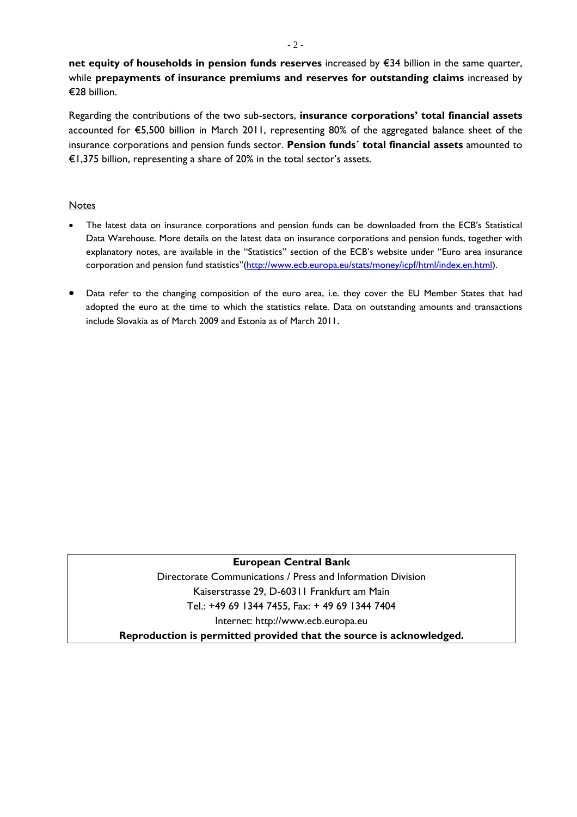**net equity of households in pension funds reserves** increased by €34 billion in the same quarter, while **prepayments of insurance premiums and reserves for outstanding claims** increased by €28 billion.

Regarding the contributions of the two sub-sectors, **insurance corporations' total financial assets** accounted for €5,500 billion in March 2011, representing 80% of the aggregated balance sheet of the insurance corporations and pension funds sector. **Pension funds´ total financial assets** amounted to €1,375 billion, representing a share of 20% in the total sector's assets.

#### **Notes**

- The latest data on insurance corporations and pension funds can be downloaded from the ECB's Statistical Data Warehouse. More details on the latest data on insurance corporations and pension funds, together with explanatory notes, are available in the "Statistics" section of the ECB's website under "Euro area insurance corporation and pension fund statistics"(http://www.ecb.europa.eu/stats/money/icpf/html/index.en.html).
- Data refer to the changing composition of the euro area, i.e. they cover the EU Member States that had adopted the euro at the time to which the statistics relate. Data on outstanding amounts and transactions include Slovakia as of March 2009 and Estonia as of March 2011.

#### **European Central Bank**

Directorate Communications / Press and Information Division Kaiserstrasse 29, D-60311 Frankfurt am Main Tel.: +49 69 1344 7455, Fax: + 49 69 1344 7404 Internet: http://www.ecb.europa.eu

**Reproduction is permitted provided that the source is acknowledged.**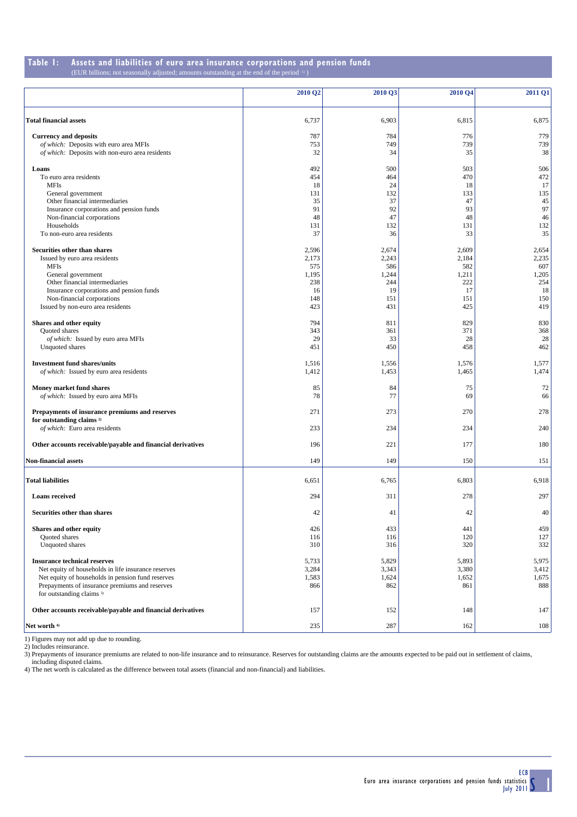#### **Table 1:** Assets and liabilities of euro area insurance corporations and pension funds (EUR billions; not seasonally adjusted; amounts outstanding at the end of the period <sup>11</sup>) adjusted; amounts outstanding at the end of the period  $\frac{1}{2}$

|                                                             | 2010 Q2   | 2010 Q3   | 2010 Q4 | 2011 Q1   |
|-------------------------------------------------------------|-----------|-----------|---------|-----------|
| <b>Total financial assets</b>                               | 6,737     | 6,903     | 6,815   | 6,875     |
| <b>Currency and deposits</b>                                | 787       | 784       | 776     | 779       |
| of which: Deposits with euro area MFIs                      | 753       | 749       | 739     | 739       |
| of which: Deposits with non-euro area residents             | 32        | 34        | 35      | 38        |
| Loans                                                       | 492       | 500       | 503     | 506       |
| To euro area residents                                      | 454       | 464       | 470     | 472       |
| <b>MFIs</b>                                                 | 18        | 24        | 18      | 17        |
| General government                                          | 131       | 132       | 133     | 135       |
| Other financial intermediaries                              | 35        | 37        | 47      | 45        |
| Insurance corporations and pension funds                    | 91        | 92        | 93      | 97        |
| Non-financial corporations                                  | 48        | 47        | 48      | 46        |
| Households                                                  | 131<br>37 | 132       | 131     | 132       |
| To non-euro area residents                                  |           | 36        | 33      | 35        |
| Securities other than shares                                | 2,596     | 2,674     | 2,609   | 2,654     |
| Issued by euro area residents                               | 2,173     | 2,243     | 2,184   | 2,235     |
| <b>MFIs</b>                                                 | 575       | 586       | 582     | 607       |
| General government                                          | 1,195     | 1,244     | 1,211   | 1,205     |
| Other financial intermediaries                              | 238       | 244       | 222     | 254       |
| Insurance corporations and pension funds                    | 16        | 19        | 17      | 18        |
| Non-financial corporations                                  | 148       | 151       | 151     | 150       |
| Issued by non-euro area residents                           | 423       | 431       | 425     | 419       |
| Shares and other equity                                     | 794       | 811       | 829     | 830       |
| Quoted shares                                               | 343       | 361       | 371     | 368       |
| of which: Issued by euro area MFIs                          | 29<br>451 | 33<br>450 | 28      | 28<br>462 |
| Unquoted shares                                             |           |           | 458     |           |
| <b>Investment fund shares/units</b>                         | 1,516     | 1,556     | 1,576   | 1,577     |
| of which: Issued by euro area residents                     | 1,412     | 1,453     | 1,465   | 1,474     |
| Money market fund shares                                    | 85        | 84        | 75      | 72        |
| of which: Issued by euro area MFIs                          | 78        | 77        | 69      | 66        |
| Prepayments of insurance premiums and reserves              | 271       | 273       | 270     | 278       |
| for outstanding claims <sup>2)</sup>                        |           |           |         |           |
| of which: Euro area residents                               | 233       | 234       | 234     | 240       |
| Other accounts receivable/payable and financial derivatives | 196       | 221       | 177     | 180       |
| <b>Non-financial assets</b>                                 | 149       | 149       | 150     | 151       |
|                                                             |           |           |         |           |
| <b>Total liabilities</b>                                    | 6,651     | 6,765     | 6,803   | 6,918     |
| <b>Loans</b> received                                       | 294       | 311       | 278     | 297       |
| Securities other than shares                                | 42        | 41        | 42      | 40        |
| Shares and other equity                                     | 426       | 433       | 441     | 459       |
| Quoted shares                                               | 116       | 116       | 120     | 127       |
| Unquoted shares                                             | 310       | 316       | 320     | 332       |
|                                                             |           |           |         |           |
| <b>Insurance technical reserves</b>                         | 5,733     | 5,829     | 5,893   | 5,975     |
| Net equity of households in life insurance reserves         | 3,284     | 3,343     | 3,380   | 3,412     |
| Net equity of households in pension fund reserves           | 1,583     | 1,624     | 1,652   | 1,675     |
| Prepayments of insurance premiums and reserves              | 866       | 862       | 861     | 888       |
| for outstanding claims 3)                                   |           |           |         |           |
| Other accounts receivable/payable and financial derivatives | 157       | 152       | 148     | 147       |
| Net worth 4)                                                | 235       | 287       | 162     | 108       |

1) Figures may not add up due to rounding.<br>2) Includes reinsurance.<br>3) Prepayments of insurance premiums are related to non-life insurance and to reinsurance. Reserves for outstanding claims are the amounts expected to be including disputed claims.

4) The net worth is calculated as the difference between total assets (financial and non-financial) and liabilities.